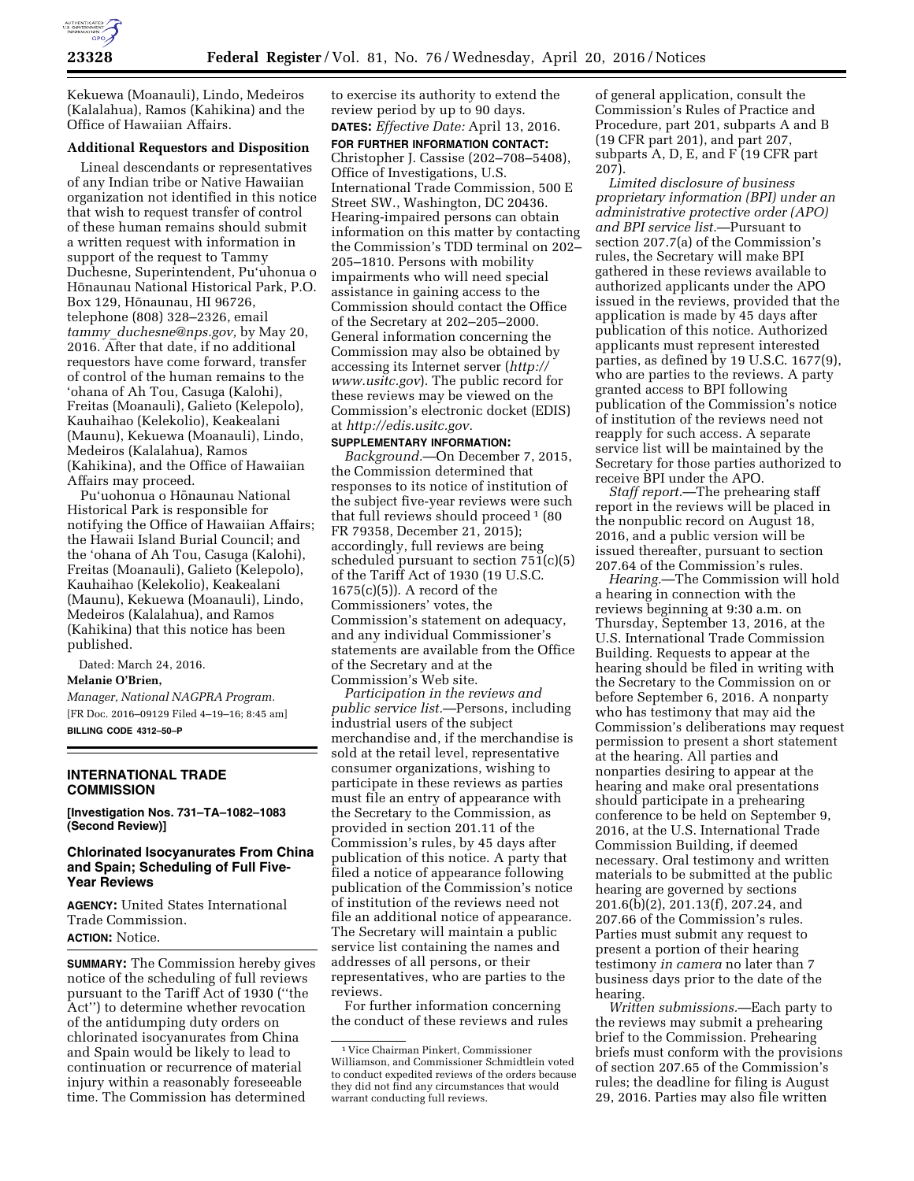

Kekuewa (Moanauli), Lindo, Medeiros (Kalalahua), Ramos (Kahikina) and the Office of Hawaiian Affairs.

#### **Additional Requestors and Disposition**

Lineal descendants or representatives of any Indian tribe or Native Hawaiian organization not identified in this notice that wish to request transfer of control of these human remains should submit a written request with information in support of the request to Tammy Duchesne, Superintendent, Pu'uhonua o Hōnaunau National Historical Park, P.O. Box 129, Hōnaunau, HI 96726, telephone (808) 328–2326, email *tammy*\_*[duchesne@nps.gov,](mailto:tammy_duchesne@nps.gov)* by May 20, 2016. After that date, if no additional requestors have come forward, transfer of control of the human remains to the 'ohana of Ah Tou, Casuga (Kalohi), Freitas (Moanauli), Galieto (Kelepolo), Kauhaihao (Kelekolio), Keakealani (Maunu), Kekuewa (Moanauli), Lindo, Medeiros (Kalalahua), Ramos (Kahikina), and the Office of Hawaiian Affairs may proceed.

Pu'uohonua o Hōnaunau National Historical Park is responsible for notifying the Office of Hawaiian Affairs; the Hawaii Island Burial Council; and the 'ohana of Ah Tou, Casuga (Kalohi), Freitas (Moanauli), Galieto (Kelepolo), Kauhaihao (Kelekolio), Keakealani (Maunu), Kekuewa (Moanauli), Lindo, Medeiros (Kalalahua), and Ramos (Kahikina) that this notice has been published.

Dated: March 24, 2016. **Melanie O'Brien,** 

*Manager, National NAGPRA Program.*  [FR Doc. 2016–09129 Filed 4–19–16; 8:45 am] **BILLING CODE 4312–50–P** 

#### **INTERNATIONAL TRADE COMMISSION**

**[Investigation Nos. 731–TA–1082–1083 (Second Review)]** 

## **Chlorinated Isocyanurates From China and Spain; Scheduling of Full Five-Year Reviews**

**AGENCY:** United States International Trade Commission. **ACTION:** Notice.

**SUMMARY:** The Commission hereby gives notice of the scheduling of full reviews pursuant to the Tariff Act of 1930 (''the Act'') to determine whether revocation of the antidumping duty orders on chlorinated isocyanurates from China and Spain would be likely to lead to continuation or recurrence of material injury within a reasonably foreseeable time. The Commission has determined

to exercise its authority to extend the review period by up to 90 days. **DATES:** *Effective Date:* April 13, 2016.

**FOR FURTHER INFORMATION CONTACT:**  Christopher J. Cassise (202–708–5408), Office of Investigations, U.S. International Trade Commission, 500 E Street SW., Washington, DC 20436. Hearing-impaired persons can obtain information on this matter by contacting the Commission's TDD terminal on 202– 205–1810. Persons with mobility impairments who will need special assistance in gaining access to the Commission should contact the Office of the Secretary at 202–205–2000. General information concerning the Commission may also be obtained by accessing its Internet server (*[http://](http://www.usitc.gov) [www.usitc.gov](http://www.usitc.gov)*). The public record for these reviews may be viewed on the Commission's electronic docket (EDIS) at *[http://edis.usitc.gov.](http://edis.usitc.gov)* 

# **SUPPLEMENTARY INFORMATION:**

*Background.*—On December 7, 2015, the Commission determined that responses to its notice of institution of the subject five-year reviews were such that full reviews should proceed  $1$  (80 FR 79358, December 21, 2015); accordingly, full reviews are being scheduled pursuant to section 751(c)(5) of the Tariff Act of 1930 (19 U.S.C. 1675(c)(5)). A record of the Commissioners' votes, the Commission's statement on adequacy, and any individual Commissioner's statements are available from the Office of the Secretary and at the Commission's Web site.

*Participation in the reviews and public service list.*—Persons, including industrial users of the subject merchandise and, if the merchandise is sold at the retail level, representative consumer organizations, wishing to participate in these reviews as parties must file an entry of appearance with the Secretary to the Commission, as provided in section 201.11 of the Commission's rules, by 45 days after publication of this notice. A party that filed a notice of appearance following publication of the Commission's notice of institution of the reviews need not file an additional notice of appearance. The Secretary will maintain a public service list containing the names and addresses of all persons, or their representatives, who are parties to the reviews.

For further information concerning the conduct of these reviews and rules

of general application, consult the Commission's Rules of Practice and Procedure, part 201, subparts A and B (19 CFR part 201), and part 207, subparts A, D, E, and F (19 CFR part 207).

*Limited disclosure of business proprietary information (BPI) under an administrative protective order (APO) and BPI service list.*—Pursuant to section 207.7(a) of the Commission's rules, the Secretary will make BPI gathered in these reviews available to authorized applicants under the APO issued in the reviews, provided that the application is made by 45 days after publication of this notice. Authorized applicants must represent interested parties, as defined by 19 U.S.C. 1677(9), who are parties to the reviews. A party granted access to BPI following publication of the Commission's notice of institution of the reviews need not reapply for such access. A separate service list will be maintained by the Secretary for those parties authorized to receive BPI under the APO.

*Staff report.*—The prehearing staff report in the reviews will be placed in the nonpublic record on August 18, 2016, and a public version will be issued thereafter, pursuant to section 207.64 of the Commission's rules.

*Hearing.*—The Commission will hold a hearing in connection with the reviews beginning at 9:30 a.m. on Thursday, September 13, 2016, at the U.S. International Trade Commission Building. Requests to appear at the hearing should be filed in writing with the Secretary to the Commission on or before September 6, 2016. A nonparty who has testimony that may aid the Commission's deliberations may request permission to present a short statement at the hearing. All parties and nonparties desiring to appear at the hearing and make oral presentations should participate in a prehearing conference to be held on September 9, 2016, at the U.S. International Trade Commission Building, if deemed necessary. Oral testimony and written materials to be submitted at the public hearing are governed by sections 201.6(b)(2), 201.13(f), 207.24, and 207.66 of the Commission's rules. Parties must submit any request to present a portion of their hearing testimony *in camera* no later than 7 business days prior to the date of the hearing.

*Written submissions.*—Each party to the reviews may submit a prehearing brief to the Commission. Prehearing briefs must conform with the provisions of section 207.65 of the Commission's rules; the deadline for filing is August 29, 2016. Parties may also file written

<sup>1</sup> Vice Chairman Pinkert, Commissioner Williamson, and Commissioner Schmidtlein voted to conduct expedited reviews of the orders because they did not find any circumstances that would warrant conducting full reviews.